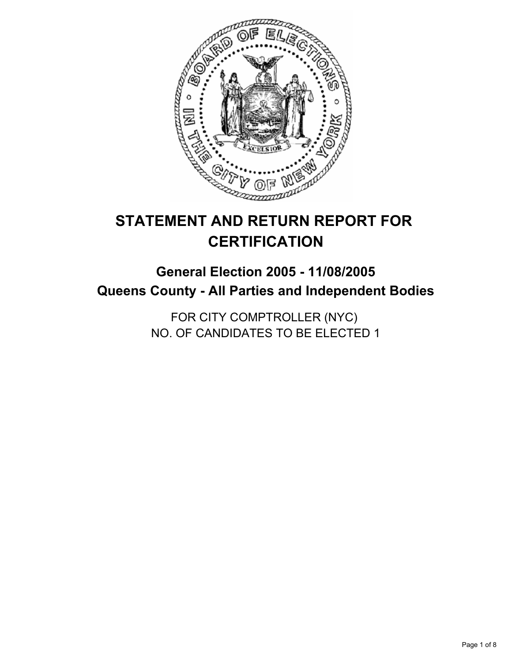

# **STATEMENT AND RETURN REPORT FOR CERTIFICATION**

## **General Election 2005 - 11/08/2005 Queens County - All Parties and Independent Bodies**

FOR CITY COMPTROLLER (NYC) NO. OF CANDIDATES TO BE ELECTED 1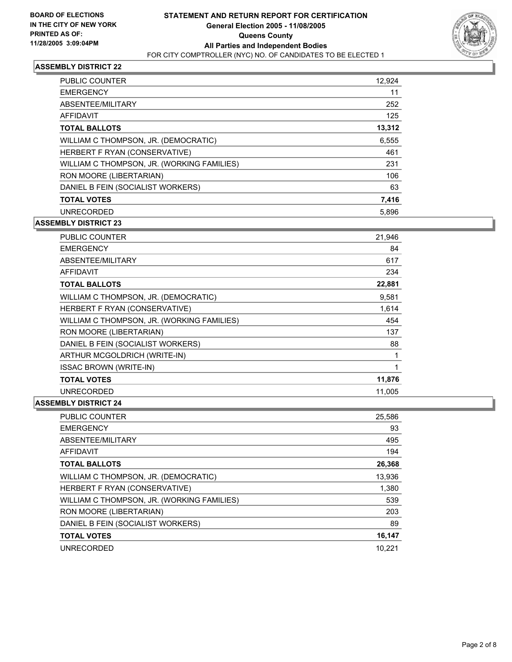

| <b>PUBLIC COUNTER</b>                      | 12,924 |
|--------------------------------------------|--------|
| <b>EMERGENCY</b>                           | 11     |
| ABSENTEE/MILITARY                          | 252    |
| AFFIDAVIT                                  | 125    |
| <b>TOTAL BALLOTS</b>                       | 13,312 |
| WILLIAM C THOMPSON, JR. (DEMOCRATIC)       | 6,555  |
| HERBERT F RYAN (CONSERVATIVE)              | 461    |
| WILLIAM C THOMPSON, JR. (WORKING FAMILIES) | 231    |
| RON MOORE (LIBERTARIAN)                    | 106    |
| DANIEL B FEIN (SOCIALIST WORKERS)          | 63     |
| <b>TOTAL VOTES</b>                         | 7,416  |
| <b>UNRECORDED</b>                          | 5,896  |

**ASSEMBLY DISTRICT 23**

| <b>PUBLIC COUNTER</b>                      | 21,946 |
|--------------------------------------------|--------|
| <b>EMERGENCY</b>                           | 84     |
| ABSENTEE/MILITARY                          | 617    |
| AFFIDAVIT                                  | 234    |
| <b>TOTAL BALLOTS</b>                       | 22,881 |
| WILLIAM C THOMPSON, JR. (DEMOCRATIC)       | 9,581  |
| HERBERT F RYAN (CONSERVATIVE)              | 1,614  |
| WILLIAM C THOMPSON, JR. (WORKING FAMILIES) | 454    |
| RON MOORE (LIBERTARIAN)                    | 137    |
| DANIEL B FEIN (SOCIALIST WORKERS)          | 88     |
| ARTHUR MCGOLDRICH (WRITE-IN)               |        |
| <b>ISSAC BROWN (WRITE-IN)</b>              |        |
| <b>TOTAL VOTES</b>                         | 11,876 |
| <b>UNRECORDED</b>                          | 11.005 |

| PUBLIC COUNTER                             | 25,586 |
|--------------------------------------------|--------|
| <b>EMERGENCY</b>                           | 93     |
| ABSENTEE/MILITARY                          | 495    |
| AFFIDAVIT                                  | 194    |
| <b>TOTAL BALLOTS</b>                       | 26,368 |
| WILLIAM C THOMPSON, JR. (DEMOCRATIC)       | 13,936 |
| HERBERT F RYAN (CONSERVATIVE)              | 1,380  |
| WILLIAM C THOMPSON, JR. (WORKING FAMILIES) | 539    |
| RON MOORE (LIBERTARIAN)                    | 203    |
| DANIEL B FEIN (SOCIALIST WORKERS)          | 89     |
| <b>TOTAL VOTES</b>                         | 16,147 |
| <b>UNRECORDED</b>                          | 10.221 |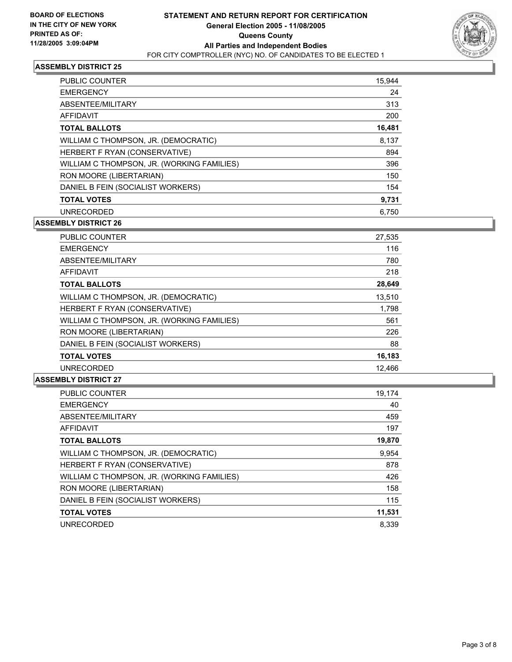

| PUBLIC COUNTER                             | 15,944 |
|--------------------------------------------|--------|
| <b>EMERGENCY</b>                           | 24     |
| ABSENTEE/MILITARY                          | 313    |
| AFFIDAVIT                                  | 200    |
| <b>TOTAL BALLOTS</b>                       | 16,481 |
| WILLIAM C THOMPSON, JR. (DEMOCRATIC)       | 8,137  |
| HERBERT F RYAN (CONSERVATIVE)              | 894    |
| WILLIAM C THOMPSON, JR. (WORKING FAMILIES) | 396    |
| RON MOORE (LIBERTARIAN)                    | 150    |
| DANIEL B FEIN (SOCIALIST WORKERS)          | 154    |
| <b>TOTAL VOTES</b>                         | 9,731  |
| <b>UNRECORDED</b>                          | 6.750  |

#### **ASSEMBLY DISTRICT 26**

| PUBLIC COUNTER                             | 27,535 |
|--------------------------------------------|--------|
| <b>EMERGENCY</b>                           | 116    |
| ABSENTEE/MILITARY                          | 780    |
| AFFIDAVIT                                  | 218    |
| <b>TOTAL BALLOTS</b>                       | 28,649 |
| WILLIAM C THOMPSON, JR. (DEMOCRATIC)       | 13,510 |
| HERBERT F RYAN (CONSERVATIVE)              | 1,798  |
| WILLIAM C THOMPSON, JR. (WORKING FAMILIES) | 561    |
| RON MOORE (LIBERTARIAN)                    | 226    |
| DANIEL B FEIN (SOCIALIST WORKERS)          | 88     |
| <b>TOTAL VOTES</b>                         | 16,183 |
| <b>UNRECORDED</b>                          | 12.466 |

| PUBLIC COUNTER                             | 19,174 |
|--------------------------------------------|--------|
| <b>EMERGENCY</b>                           | 40     |
| ABSENTEE/MILITARY                          | 459    |
| AFFIDAVIT                                  | 197    |
| <b>TOTAL BALLOTS</b>                       | 19,870 |
| WILLIAM C THOMPSON, JR. (DEMOCRATIC)       | 9,954  |
| HERBERT F RYAN (CONSERVATIVE)              | 878    |
| WILLIAM C THOMPSON, JR. (WORKING FAMILIES) | 426    |
| RON MOORE (LIBERTARIAN)                    | 158    |
| DANIEL B FEIN (SOCIALIST WORKERS)          | 115    |
| <b>TOTAL VOTES</b>                         | 11,531 |
| <b>UNRECORDED</b>                          | 8.339  |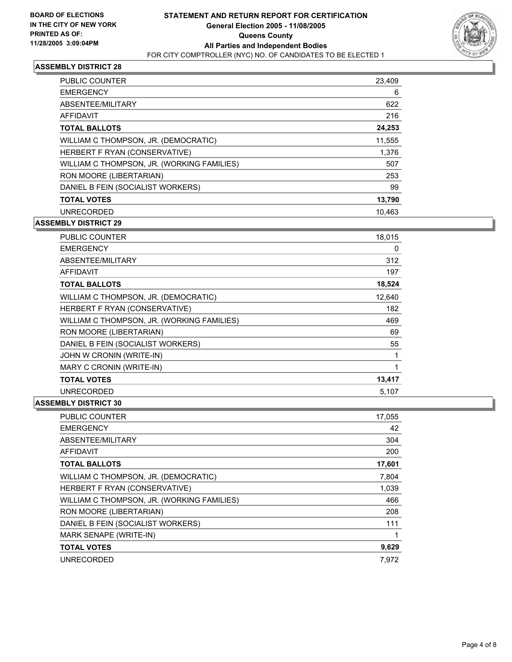

| <b>PUBLIC COUNTER</b>                      | 23,409 |
|--------------------------------------------|--------|
| <b>EMERGENCY</b>                           | 6      |
| ABSENTEE/MILITARY                          | 622    |
| AFFIDAVIT                                  | 216    |
| <b>TOTAL BALLOTS</b>                       | 24,253 |
| WILLIAM C THOMPSON, JR. (DEMOCRATIC)       | 11,555 |
| HERBERT F RYAN (CONSERVATIVE)              | 1.376  |
| WILLIAM C THOMPSON, JR. (WORKING FAMILIES) | 507    |
| RON MOORE (LIBERTARIAN)                    | 253    |
| DANIEL B FEIN (SOCIALIST WORKERS)          | 99     |
| <b>TOTAL VOTES</b>                         | 13,790 |
| <b>UNRECORDED</b>                          | 10.463 |

**ASSEMBLY DISTRICT 29**

| <b>PUBLIC COUNTER</b>                      | 18,015 |
|--------------------------------------------|--------|
| <b>EMERGENCY</b>                           | 0      |
| ABSENTEE/MILITARY                          | 312    |
| <b>AFFIDAVIT</b>                           | 197    |
| <b>TOTAL BALLOTS</b>                       | 18,524 |
| WILLIAM C THOMPSON, JR. (DEMOCRATIC)       | 12,640 |
| HERBERT F RYAN (CONSERVATIVE)              | 182    |
| WILLIAM C THOMPSON, JR. (WORKING FAMILIES) | 469    |
| RON MOORE (LIBERTARIAN)                    | 69     |
| DANIEL B FEIN (SOCIALIST WORKERS)          | 55     |
| JOHN W CRONIN (WRITE-IN)                   |        |
| MARY C CRONIN (WRITE-IN)                   |        |
| <b>TOTAL VOTES</b>                         | 13,417 |
| <b>UNRECORDED</b>                          | 5,107  |

| PUBLIC COUNTER                             | 17,055 |
|--------------------------------------------|--------|
| <b>EMERGENCY</b>                           | 42     |
| ABSENTEE/MILITARY                          | 304    |
| AFFIDAVIT                                  | 200    |
| <b>TOTAL BALLOTS</b>                       | 17,601 |
| WILLIAM C THOMPSON, JR. (DEMOCRATIC)       | 7,804  |
| HERBERT F RYAN (CONSERVATIVE)              | 1,039  |
| WILLIAM C THOMPSON, JR. (WORKING FAMILIES) | 466    |
| RON MOORE (LIBERTARIAN)                    | 208    |
| DANIEL B FEIN (SOCIALIST WORKERS)          | 111    |
| MARK SENAPE (WRITE-IN)                     |        |
| <b>TOTAL VOTES</b>                         | 9,629  |
| <b>UNRECORDED</b>                          | 7.972  |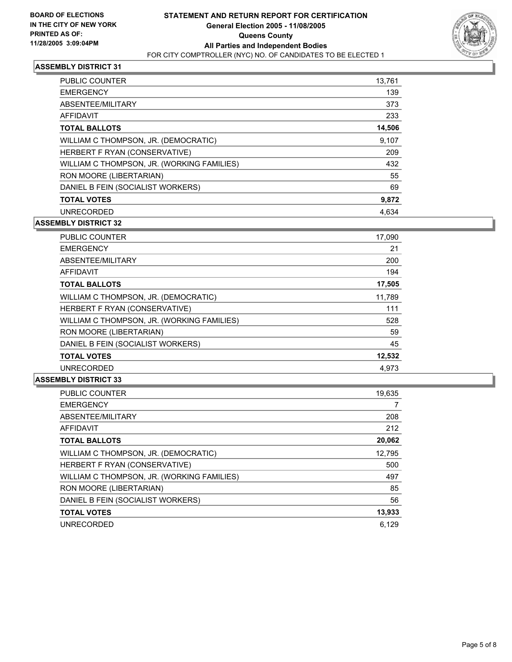

| <b>PUBLIC COUNTER</b>                      | 13,761 |
|--------------------------------------------|--------|
| <b>EMERGENCY</b>                           | 139    |
| ABSENTEE/MILITARY                          | 373    |
| AFFIDAVIT                                  | 233    |
| <b>TOTAL BALLOTS</b>                       | 14,506 |
| WILLIAM C THOMPSON, JR. (DEMOCRATIC)       | 9.107  |
| HERBERT F RYAN (CONSERVATIVE)              | 209    |
| WILLIAM C THOMPSON, JR. (WORKING FAMILIES) | 432    |
| RON MOORE (LIBERTARIAN)                    | 55     |
| DANIEL B FEIN (SOCIALIST WORKERS)          | 69     |
| <b>TOTAL VOTES</b>                         | 9,872  |
| UNRECORDED                                 | 4.634  |

#### **ASSEMBLY DISTRICT 32**

| PUBLIC COUNTER                             | 17,090 |
|--------------------------------------------|--------|
| <b>EMERGENCY</b>                           | 21     |
| ABSENTEE/MILITARY                          | 200    |
| AFFIDAVIT                                  | 194    |
| <b>TOTAL BALLOTS</b>                       | 17,505 |
| WILLIAM C THOMPSON, JR. (DEMOCRATIC)       | 11,789 |
| HERBERT F RYAN (CONSERVATIVE)              | 111    |
| WILLIAM C THOMPSON, JR. (WORKING FAMILIES) | 528    |
| RON MOORE (LIBERTARIAN)                    | 59     |
| DANIEL B FEIN (SOCIALIST WORKERS)          | 45     |
| <b>TOTAL VOTES</b>                         | 12,532 |
| <b>UNRECORDED</b>                          | 4,973  |

| PUBLIC COUNTER                             | 19,635 |
|--------------------------------------------|--------|
| <b>EMERGENCY</b>                           |        |
| ABSENTEE/MILITARY                          | 208    |
| AFFIDAVIT                                  | 212    |
| <b>TOTAL BALLOTS</b>                       | 20,062 |
| WILLIAM C THOMPSON, JR. (DEMOCRATIC)       | 12,795 |
| HERBERT F RYAN (CONSERVATIVE)              | 500    |
| WILLIAM C THOMPSON, JR. (WORKING FAMILIES) | 497    |
| RON MOORE (LIBERTARIAN)                    | 85     |
| DANIEL B FEIN (SOCIALIST WORKERS)          | 56     |
| <b>TOTAL VOTES</b>                         | 13,933 |
| <b>UNRECORDED</b>                          | 6.129  |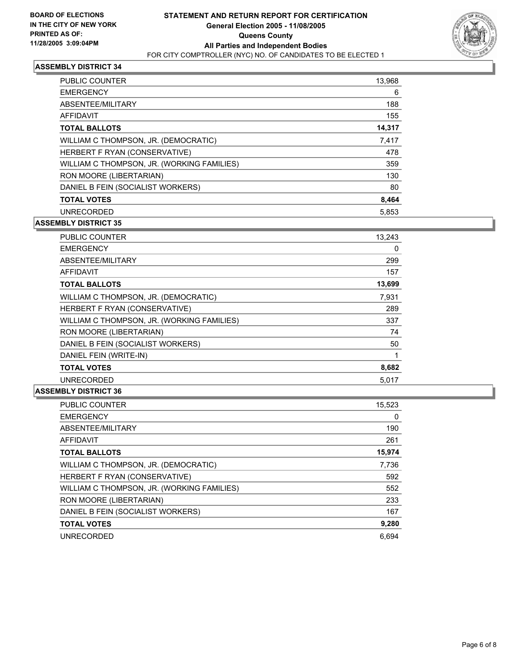

| PUBLIC COUNTER                             | 13,968 |
|--------------------------------------------|--------|
| <b>EMERGENCY</b>                           | 6      |
| ABSENTEE/MILITARY                          | 188    |
| AFFIDAVIT                                  | 155    |
| <b>TOTAL BALLOTS</b>                       | 14,317 |
| WILLIAM C THOMPSON, JR. (DEMOCRATIC)       | 7,417  |
| HERBERT F RYAN (CONSERVATIVE)              | 478    |
| WILLIAM C THOMPSON, JR. (WORKING FAMILIES) | 359    |
| RON MOORE (LIBERTARIAN)                    | 130    |
| DANIEL B FEIN (SOCIALIST WORKERS)          | 80     |
| <b>TOTAL VOTES</b>                         | 8,464  |
| <b>UNRECORDED</b>                          | 5,853  |

**ASSEMBLY DISTRICT 35**

| PUBLIC COUNTER                             | 13,243 |  |
|--------------------------------------------|--------|--|
| <b>EMERGENCY</b>                           | 0      |  |
| ABSENTEE/MILITARY                          | 299    |  |
| AFFIDAVIT                                  | 157    |  |
| <b>TOTAL BALLOTS</b>                       | 13,699 |  |
| WILLIAM C THOMPSON, JR. (DEMOCRATIC)       | 7,931  |  |
| HERBERT F RYAN (CONSERVATIVE)              | 289    |  |
| WILLIAM C THOMPSON, JR. (WORKING FAMILIES) | 337    |  |
| RON MOORE (LIBERTARIAN)                    | 74     |  |
| DANIEL B FEIN (SOCIALIST WORKERS)          | 50     |  |
| DANIEL FEIN (WRITE-IN)                     |        |  |
| <b>TOTAL VOTES</b>                         | 8,682  |  |
| <b>UNRECORDED</b>                          | 5.017  |  |

| <b>PUBLIC COUNTER</b>                      | 15,523 |
|--------------------------------------------|--------|
| <b>EMERGENCY</b>                           | 0      |
| ABSENTEE/MILITARY                          | 190    |
| AFFIDAVIT                                  | 261    |
| <b>TOTAL BALLOTS</b>                       | 15,974 |
| WILLIAM C THOMPSON, JR. (DEMOCRATIC)       | 7,736  |
| HERBERT F RYAN (CONSERVATIVE)              | 592    |
| WILLIAM C THOMPSON, JR. (WORKING FAMILIES) | 552    |
| RON MOORE (LIBERTARIAN)                    | 233    |
| DANIEL B FEIN (SOCIALIST WORKERS)          | 167    |
| <b>TOTAL VOTES</b>                         | 9,280  |
| <b>UNRECORDED</b>                          | 6.694  |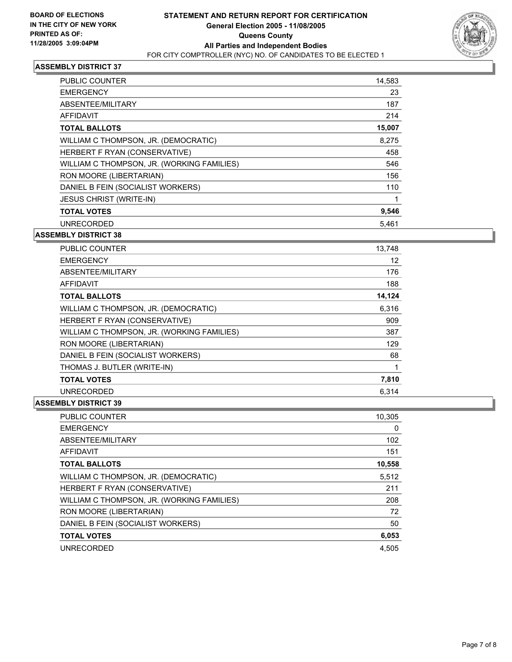

| PUBLIC COUNTER                             | 14,583 |  |
|--------------------------------------------|--------|--|
| <b>EMERGENCY</b>                           | 23     |  |
| ABSENTEE/MILITARY                          | 187    |  |
| <b>AFFIDAVIT</b>                           | 214    |  |
| <b>TOTAL BALLOTS</b>                       | 15,007 |  |
| WILLIAM C THOMPSON, JR. (DEMOCRATIC)       | 8,275  |  |
| HERBERT F RYAN (CONSERVATIVE)              | 458    |  |
| WILLIAM C THOMPSON, JR. (WORKING FAMILIES) | 546    |  |
| RON MOORE (LIBERTARIAN)                    | 156    |  |
| DANIEL B FEIN (SOCIALIST WORKERS)          | 110    |  |
| <b>JESUS CHRIST (WRITE-IN)</b>             |        |  |
| <b>TOTAL VOTES</b>                         | 9,546  |  |
| <b>UNRECORDED</b>                          | 5,461  |  |

#### **ASSEMBLY DISTRICT 38**

| <b>PUBLIC COUNTER</b>                      | 13,748 |  |
|--------------------------------------------|--------|--|
| <b>EMERGENCY</b>                           | 12     |  |
| ABSENTEE/MILITARY                          | 176    |  |
| <b>AFFIDAVIT</b>                           | 188    |  |
| <b>TOTAL BALLOTS</b>                       | 14,124 |  |
| WILLIAM C THOMPSON, JR. (DEMOCRATIC)       | 6,316  |  |
| HERBERT F RYAN (CONSERVATIVE)              | 909    |  |
| WILLIAM C THOMPSON, JR. (WORKING FAMILIES) | 387    |  |
| RON MOORE (LIBERTARIAN)                    | 129    |  |
| DANIEL B FEIN (SOCIALIST WORKERS)          | 68     |  |
| THOMAS J. BUTLER (WRITE-IN)                |        |  |
| <b>TOTAL VOTES</b>                         | 7,810  |  |
| <b>UNRECORDED</b>                          | 6.314  |  |

| <b>PUBLIC COUNTER</b>                      | 10,305 |
|--------------------------------------------|--------|
| <b>EMERGENCY</b>                           | 0      |
| ABSENTEE/MILITARY                          | 102    |
| AFFIDAVIT                                  | 151    |
| <b>TOTAL BALLOTS</b>                       | 10,558 |
| WILLIAM C THOMPSON, JR. (DEMOCRATIC)       | 5,512  |
| HERBERT F RYAN (CONSERVATIVE)              | 211    |
| WILLIAM C THOMPSON, JR. (WORKING FAMILIES) | 208    |
| RON MOORE (LIBERTARIAN)                    | 72     |
| DANIEL B FEIN (SOCIALIST WORKERS)          | 50     |
| <b>TOTAL VOTES</b>                         | 6,053  |
| <b>UNRECORDED</b>                          | 4.505  |